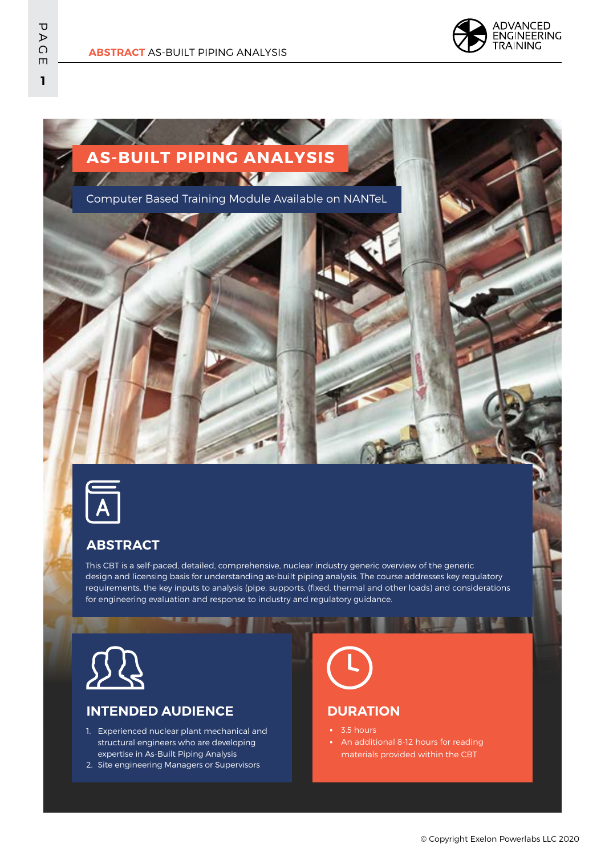





### **ABSTRACT**

This CBT is a self-paced, detailed, comprehensive, nuclear industry generic overview of the generic design and licensing basis for understanding as-built piping analysis. The course addresses key regulatory requirements, the key inputs to analysis (pipe, supports, (fixed, thermal and other loads) and considerations for engineering evaluation and response to industry and regulatory guidance.



# **INTENDED AUDIENCE**

- 1. Experienced nuclear plant mechanical and structural engineers who are developing expertise in As-Built Piping Analysis
- 2. Site engineering Managers or Supervisors

# **DURATION**

- 3.5 hours
- An additional 8-12 hours for reading materials provided within the CBT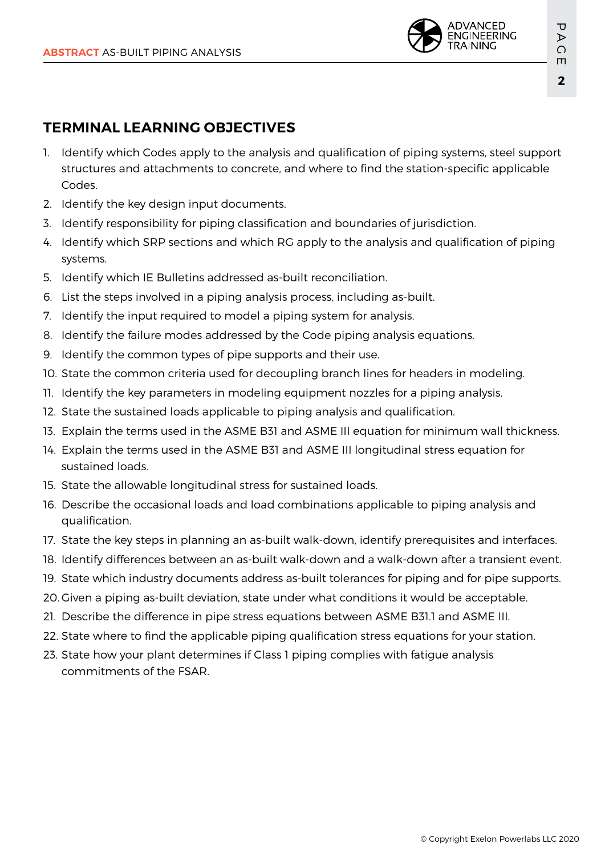

# **TERMINAL LEARNING OBJECTIVES**

- 1. Identify which Codes apply to the analysis and qualification of piping systems, steel support structures and attachments to concrete, and where to find the station-specific applicable Codes.
- 2. Identify the key design input documents.
- 3. Identify responsibility for piping classification and boundaries of jurisdiction.
- 4. Identify which SRP sections and which RG apply to the analysis and qualification of piping systems.
- 5. Identify which IE Bulletins addressed as-built reconciliation.
- 6. List the steps involved in a piping analysis process, including as-built.
- 7. Identify the input required to model a piping system for analysis.
- 8. Identify the failure modes addressed by the Code piping analysis equations.
- 9. Identify the common types of pipe supports and their use.
- 10. State the common criteria used for decoupling branch lines for headers in modeling.
- 11. Identify the key parameters in modeling equipment nozzles for a piping analysis.
- 12. State the sustained loads applicable to piping analysis and qualification.
- 13. Explain the terms used in the ASME B31 and ASME III equation for minimum wall thickness.
- 14. Explain the terms used in the ASME B31 and ASME III longitudinal stress equation for sustained loads.
- 15. State the allowable longitudinal stress for sustained loads.
- 16. Describe the occasional loads and load combinations applicable to piping analysis and qualification.
- 17. State the key steps in planning an as-built walk-down, identify prerequisites and interfaces.
- 18. Identify differences between an as-built walk-down and a walk-down after a transient event.
- 19. State which industry documents address as-built tolerances for piping and for pipe supports.
- 20. Given a piping as-built deviation, state under what conditions it would be acceptable.
- 21. Describe the difference in pipe stress equations between ASME B31.1 and ASME III.
- 22. State where to find the applicable piping qualification stress equations for your station.
- 23. State how your plant determines if Class 1 piping complies with fatigue analysis commitments of the FSAR.